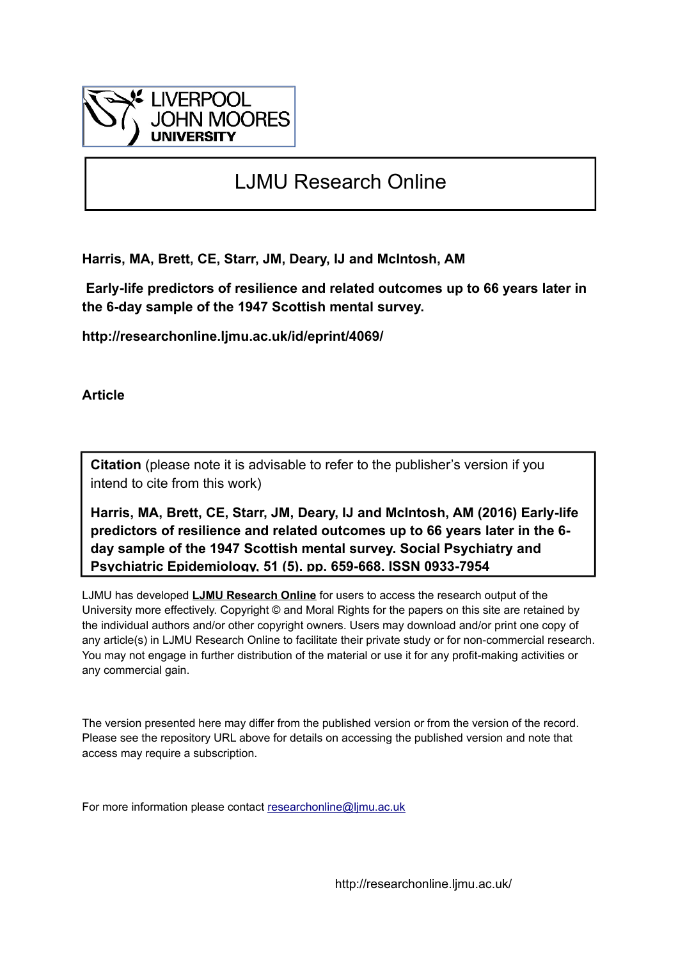

# LJMU Research Online

**Harris, MA, Brett, CE, Starr, JM, Deary, IJ and McIntosh, AM**

 **Early-life predictors of resilience and related outcomes up to 66 years later in the 6-day sample of the 1947 Scottish mental survey.**

**http://researchonline.ljmu.ac.uk/id/eprint/4069/**

**Article**

**Citation** (please note it is advisable to refer to the publisher's version if you intend to cite from this work)

**Harris, MA, Brett, CE, Starr, JM, Deary, IJ and McIntosh, AM (2016) Early-life predictors of resilience and related outcomes up to 66 years later in the 6 day sample of the 1947 Scottish mental survey. Social Psychiatry and Psychiatric Epidemiology, 51 (5). pp. 659-668. ISSN 0933-7954** 

LJMU has developed **[LJMU Research Online](http://researchonline.ljmu.ac.uk/)** for users to access the research output of the University more effectively. Copyright © and Moral Rights for the papers on this site are retained by the individual authors and/or other copyright owners. Users may download and/or print one copy of any article(s) in LJMU Research Online to facilitate their private study or for non-commercial research. You may not engage in further distribution of the material or use it for any profit-making activities or any commercial gain.

The version presented here may differ from the published version or from the version of the record. Please see the repository URL above for details on accessing the published version and note that access may require a subscription.

For more information please contact [researchonline@ljmu.ac.uk](mailto:researchonline@ljmu.ac.uk)

http://researchonline.ljmu.ac.uk/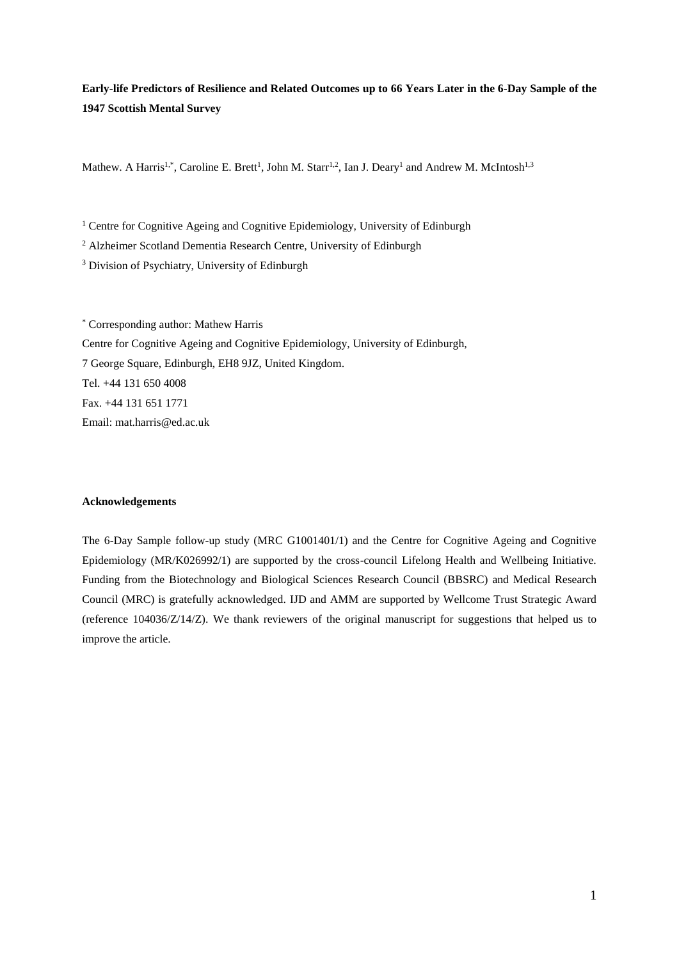# **Early-life Predictors of Resilience and Related Outcomes up to 66 Years Later in the 6-Day Sample of the 1947 Scottish Mental Survey**

Mathew. A Harris<sup>1,\*</sup>, Caroline E. Brett<sup>1</sup>, John M. Starr<sup>1,2</sup>, Ian J. Deary<sup>1</sup> and Andrew M. McIntosh<sup>1,3</sup>

<sup>1</sup> Centre for Cognitive Ageing and Cognitive Epidemiology, University of Edinburgh

<sup>2</sup> Alzheimer Scotland Dementia Research Centre, University of Edinburgh

<sup>3</sup> Division of Psychiatry, University of Edinburgh

\* Corresponding author: Mathew Harris Centre for Cognitive Ageing and Cognitive Epidemiology, University of Edinburgh, 7 George Square, Edinburgh, EH8 9JZ, United Kingdom. Tel. +44 131 650 4008 Fax. +44 131 651 1771 Email: mat.harris@ed.ac.uk

## **Acknowledgements**

The 6-Day Sample follow-up study (MRC G1001401/1) and the Centre for Cognitive Ageing and Cognitive Epidemiology (MR/K026992/1) are supported by the cross-council Lifelong Health and Wellbeing Initiative. Funding from the Biotechnology and Biological Sciences Research Council (BBSRC) and Medical Research Council (MRC) is gratefully acknowledged. IJD and AMM are supported by Wellcome Trust Strategic Award (reference 104036/Z/14/Z). We thank reviewers of the original manuscript for suggestions that helped us to improve the article.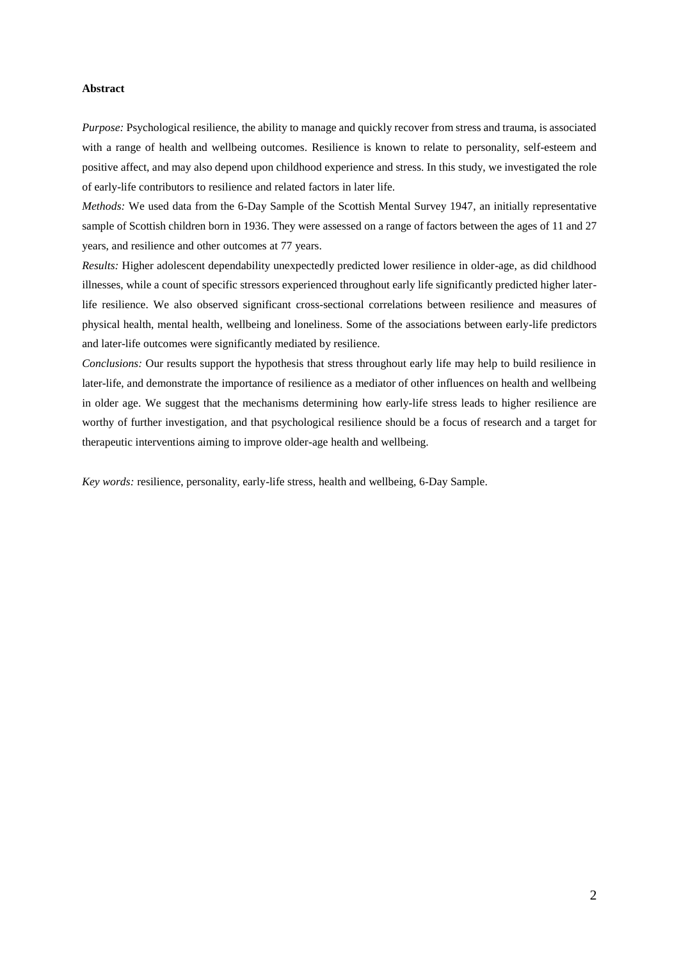#### **Abstract**

*Purpose:* Psychological resilience, the ability to manage and quickly recover from stress and trauma, is associated with a range of health and wellbeing outcomes. Resilience is known to relate to personality, self-esteem and positive affect, and may also depend upon childhood experience and stress. In this study, we investigated the role of early-life contributors to resilience and related factors in later life.

*Methods:* We used data from the 6-Day Sample of the Scottish Mental Survey 1947, an initially representative sample of Scottish children born in 1936. They were assessed on a range of factors between the ages of 11 and 27 years, and resilience and other outcomes at 77 years.

*Results:* Higher adolescent dependability unexpectedly predicted lower resilience in older-age, as did childhood illnesses, while a count of specific stressors experienced throughout early life significantly predicted higher laterlife resilience. We also observed significant cross-sectional correlations between resilience and measures of physical health, mental health, wellbeing and loneliness. Some of the associations between early-life predictors and later-life outcomes were significantly mediated by resilience.

*Conclusions:* Our results support the hypothesis that stress throughout early life may help to build resilience in later-life, and demonstrate the importance of resilience as a mediator of other influences on health and wellbeing in older age. We suggest that the mechanisms determining how early-life stress leads to higher resilience are worthy of further investigation, and that psychological resilience should be a focus of research and a target for therapeutic interventions aiming to improve older-age health and wellbeing.

*Key words:* resilience, personality, early-life stress, health and wellbeing, 6-Day Sample.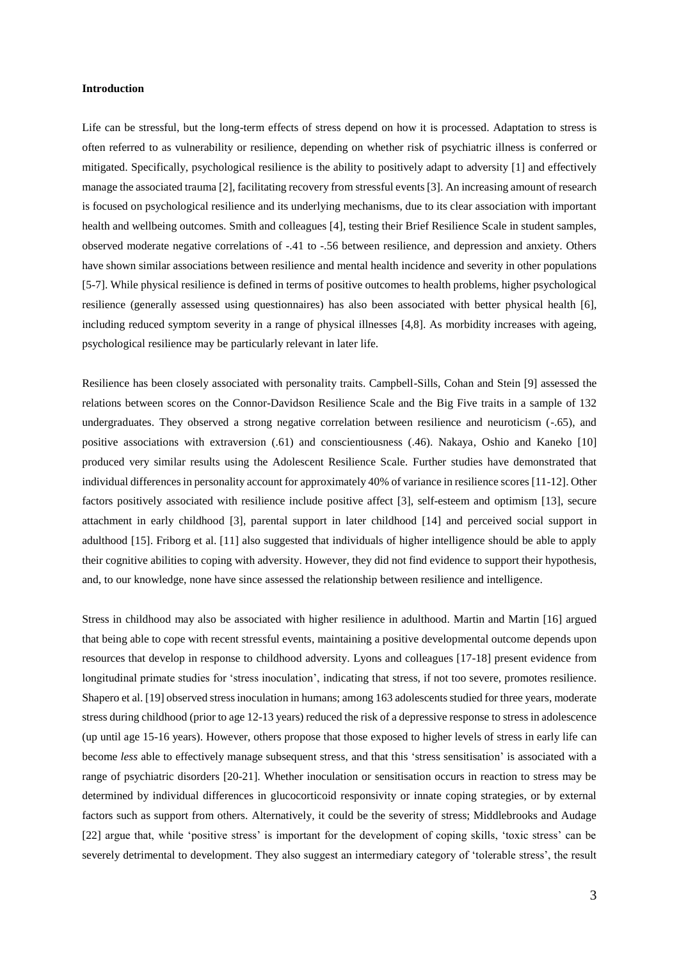#### **Introduction**

Life can be stressful, but the long-term effects of stress depend on how it is processed. Adaptation to stress is often referred to as vulnerability or resilience, depending on whether risk of psychiatric illness is conferred or mitigated. Specifically, psychological resilience is the ability to positively adapt to adversity [1] and effectively manage the associated trauma [2], facilitating recovery from stressful events [3]. An increasing amount of research is focused on psychological resilience and its underlying mechanisms, due to its clear association with important health and wellbeing outcomes. Smith and colleagues [4], testing their Brief Resilience Scale in student samples, observed moderate negative correlations of -.41 to -.56 between resilience, and depression and anxiety. Others have shown similar associations between resilience and mental health incidence and severity in other populations [5-7]. While physical resilience is defined in terms of positive outcomes to health problems, higher psychological resilience (generally assessed using questionnaires) has also been associated with better physical health [6], including reduced symptom severity in a range of physical illnesses [4,8]. As morbidity increases with ageing, psychological resilience may be particularly relevant in later life.

Resilience has been closely associated with personality traits. Campbell-Sills, Cohan and Stein [9] assessed the relations between scores on the Connor-Davidson Resilience Scale and the Big Five traits in a sample of 132 undergraduates. They observed a strong negative correlation between resilience and neuroticism (-.65), and positive associations with extraversion (.61) and conscientiousness (.46). Nakaya, Oshio and Kaneko [10] produced very similar results using the Adolescent Resilience Scale. Further studies have demonstrated that individual differences in personality account for approximately 40% of variance in resilience scores [11-12]. Other factors positively associated with resilience include positive affect [3], self-esteem and optimism [13], secure attachment in early childhood [3], parental support in later childhood [14] and perceived social support in adulthood [15]. Friborg et al. [11] also suggested that individuals of higher intelligence should be able to apply their cognitive abilities to coping with adversity. However, they did not find evidence to support their hypothesis, and, to our knowledge, none have since assessed the relationship between resilience and intelligence.

Stress in childhood may also be associated with higher resilience in adulthood. Martin and Martin [16] argued that being able to cope with recent stressful events, maintaining a positive developmental outcome depends upon resources that develop in response to childhood adversity. Lyons and colleagues [17-18] present evidence from longitudinal primate studies for 'stress inoculation', indicating that stress, if not too severe, promotes resilience. Shapero et al. [19] observed stress inoculation in humans; among 163 adolescents studied for three years, moderate stress during childhood (prior to age 12-13 years) reduced the risk of a depressive response to stress in adolescence (up until age 15-16 years). However, others propose that those exposed to higher levels of stress in early life can become *less* able to effectively manage subsequent stress, and that this 'stress sensitisation' is associated with a range of psychiatric disorders [20-21]. Whether inoculation or sensitisation occurs in reaction to stress may be determined by individual differences in glucocorticoid responsivity or innate coping strategies, or by external factors such as support from others. Alternatively, it could be the severity of stress; Middlebrooks and Audage [22] argue that, while 'positive stress' is important for the development of coping skills, 'toxic stress' can be severely detrimental to development. They also suggest an intermediary category of 'tolerable stress', the result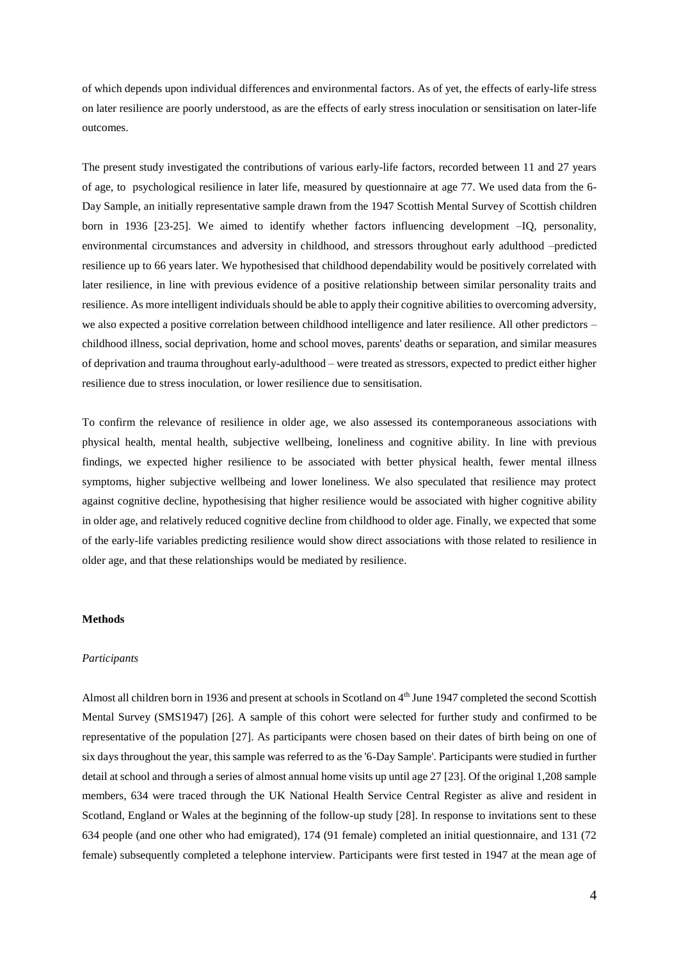of which depends upon individual differences and environmental factors. As of yet, the effects of early-life stress on later resilience are poorly understood, as are the effects of early stress inoculation or sensitisation on later-life outcomes.

The present study investigated the contributions of various early-life factors, recorded between 11 and 27 years of age, to psychological resilience in later life, measured by questionnaire at age 77. We used data from the 6- Day Sample, an initially representative sample drawn from the 1947 Scottish Mental Survey of Scottish children born in 1936 [23-25]. We aimed to identify whether factors influencing development –IQ, personality, environmental circumstances and adversity in childhood, and stressors throughout early adulthood –predicted resilience up to 66 years later. We hypothesised that childhood dependability would be positively correlated with later resilience, in line with previous evidence of a positive relationship between similar personality traits and resilience. As more intelligent individuals should be able to apply their cognitive abilities to overcoming adversity, we also expected a positive correlation between childhood intelligence and later resilience. All other predictors – childhood illness, social deprivation, home and school moves, parents' deaths or separation, and similar measures of deprivation and trauma throughout early-adulthood – were treated as stressors, expected to predict either higher resilience due to stress inoculation, or lower resilience due to sensitisation.

To confirm the relevance of resilience in older age, we also assessed its contemporaneous associations with physical health, mental health, subjective wellbeing, loneliness and cognitive ability. In line with previous findings, we expected higher resilience to be associated with better physical health, fewer mental illness symptoms, higher subjective wellbeing and lower loneliness. We also speculated that resilience may protect against cognitive decline, hypothesising that higher resilience would be associated with higher cognitive ability in older age, and relatively reduced cognitive decline from childhood to older age. Finally, we expected that some of the early-life variables predicting resilience would show direct associations with those related to resilience in older age, and that these relationships would be mediated by resilience.

#### **Methods**

#### *Participants*

Almost all children born in 1936 and present at schools in Scotland on  $4<sup>th</sup>$  June 1947 completed the second Scottish Mental Survey (SMS1947) [26]. A sample of this cohort were selected for further study and confirmed to be representative of the population [27]. As participants were chosen based on their dates of birth being on one of six days throughout the year, this sample was referred to as the '6-Day Sample'. Participants were studied in further detail at school and through a series of almost annual home visits up until age 27 [23]. Of the original 1,208 sample members, 634 were traced through the UK National Health Service Central Register as alive and resident in Scotland, England or Wales at the beginning of the follow-up study [28]. In response to invitations sent to these 634 people (and one other who had emigrated), 174 (91 female) completed an initial questionnaire, and 131 (72 female) subsequently completed a telephone interview. Participants were first tested in 1947 at the mean age of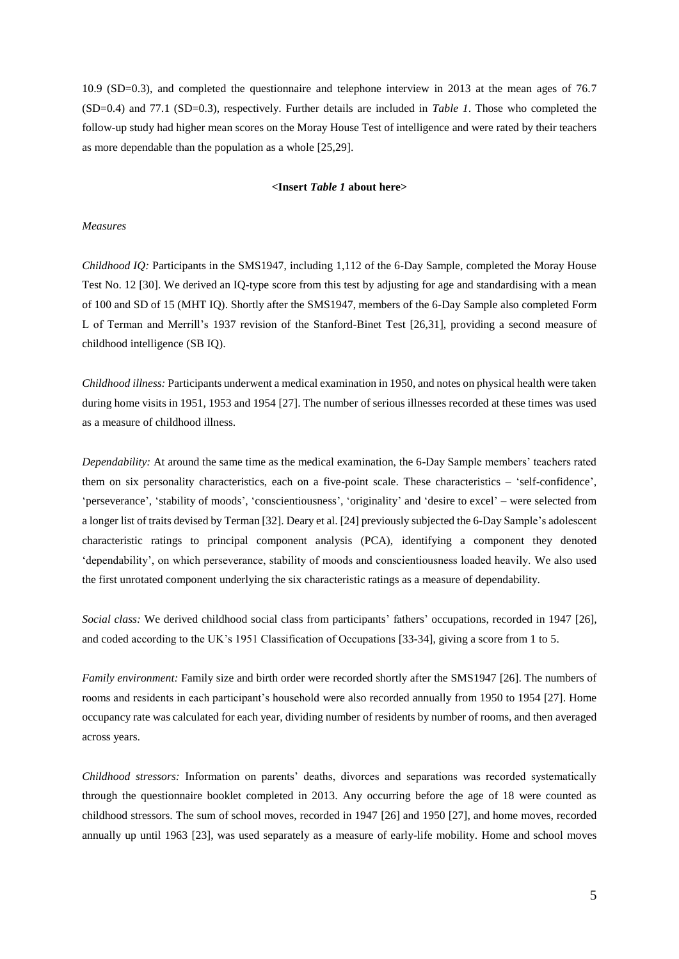10.9 (SD=0.3), and completed the questionnaire and telephone interview in 2013 at the mean ages of 76.7 (SD=0.4) and 77.1 (SD=0.3), respectively. Further details are included in *Table 1*. Those who completed the follow-up study had higher mean scores on the Moray House Test of intelligence and were rated by their teachers as more dependable than the population as a whole [25,29].

## **<Insert** *Table 1* **about here>**

#### *Measures*

*Childhood IQ:* Participants in the SMS1947, including 1,112 of the 6-Day Sample, completed the Moray House Test No. 12 [30]. We derived an IQ-type score from this test by adjusting for age and standardising with a mean of 100 and SD of 15 (MHT IQ). Shortly after the SMS1947, members of the 6-Day Sample also completed Form L of Terman and Merrill's 1937 revision of the Stanford-Binet Test [26,31], providing a second measure of childhood intelligence (SB IQ).

*Childhood illness:* Participants underwent a medical examination in 1950, and notes on physical health were taken during home visits in 1951, 1953 and 1954 [27]. The number of serious illnesses recorded at these times was used as a measure of childhood illness.

*Dependability:* At around the same time as the medical examination, the 6-Day Sample members' teachers rated them on six personality characteristics, each on a five-point scale. These characteristics – 'self-confidence', 'perseverance', 'stability of moods', 'conscientiousness', 'originality' and 'desire to excel' – were selected from a longer list of traits devised by Terman [32]. Deary et al. [24] previously subjected the 6-Day Sample's adolescent characteristic ratings to principal component analysis (PCA), identifying a component they denoted 'dependability', on which perseverance, stability of moods and conscientiousness loaded heavily. We also used the first unrotated component underlying the six characteristic ratings as a measure of dependability.

*Social class:* We derived childhood social class from participants' fathers' occupations, recorded in 1947 [26], and coded according to the UK's 1951 Classification of Occupations [33-34], giving a score from 1 to 5.

*Family environment:* Family size and birth order were recorded shortly after the SMS1947 [26]. The numbers of rooms and residents in each participant's household were also recorded annually from 1950 to 1954 [27]. Home occupancy rate was calculated for each year, dividing number of residents by number of rooms, and then averaged across years.

*Childhood stressors:* Information on parents' deaths, divorces and separations was recorded systematically through the questionnaire booklet completed in 2013. Any occurring before the age of 18 were counted as childhood stressors. The sum of school moves, recorded in 1947 [26] and 1950 [27], and home moves, recorded annually up until 1963 [23], was used separately as a measure of early-life mobility. Home and school moves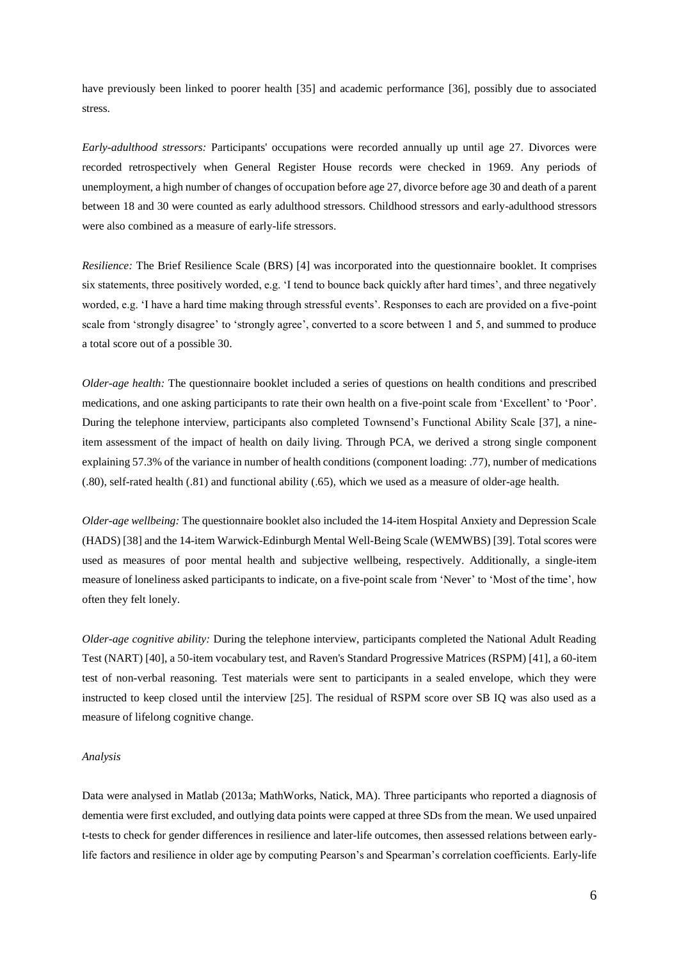have previously been linked to poorer health [35] and academic performance [36], possibly due to associated stress.

*Early-adulthood stressors:* Participants' occupations were recorded annually up until age 27. Divorces were recorded retrospectively when General Register House records were checked in 1969. Any periods of unemployment, a high number of changes of occupation before age 27, divorce before age 30 and death of a parent between 18 and 30 were counted as early adulthood stressors. Childhood stressors and early-adulthood stressors were also combined as a measure of early-life stressors.

*Resilience:* The Brief Resilience Scale (BRS) [4] was incorporated into the questionnaire booklet. It comprises six statements, three positively worded, e.g. 'I tend to bounce back quickly after hard times', and three negatively worded, e.g. 'I have a hard time making through stressful events'. Responses to each are provided on a five-point scale from 'strongly disagree' to 'strongly agree', converted to a score between 1 and 5, and summed to produce a total score out of a possible 30.

*Older-age health:* The questionnaire booklet included a series of questions on health conditions and prescribed medications, and one asking participants to rate their own health on a five-point scale from 'Excellent' to 'Poor'. During the telephone interview, participants also completed Townsend's Functional Ability Scale [37], a nineitem assessment of the impact of health on daily living. Through PCA, we derived a strong single component explaining 57.3% of the variance in number of health conditions (component loading: .77), number of medications (.80), self-rated health (.81) and functional ability (.65), which we used as a measure of older-age health.

*Older-age wellbeing:* The questionnaire booklet also included the 14-item Hospital Anxiety and Depression Scale (HADS) [38] and the 14-item Warwick-Edinburgh Mental Well-Being Scale (WEMWBS) [39]. Total scores were used as measures of poor mental health and subjective wellbeing, respectively. Additionally, a single-item measure of loneliness asked participants to indicate, on a five-point scale from 'Never' to 'Most of the time', how often they felt lonely.

*Older-age cognitive ability:* During the telephone interview, participants completed the National Adult Reading Test (NART) [40], a 50-item vocabulary test, and Raven's Standard Progressive Matrices (RSPM) [41], a 60-item test of non-verbal reasoning. Test materials were sent to participants in a sealed envelope, which they were instructed to keep closed until the interview [25]. The residual of RSPM score over SB IQ was also used as a measure of lifelong cognitive change.

#### *Analysis*

Data were analysed in Matlab (2013a; MathWorks, Natick, MA). Three participants who reported a diagnosis of dementia were first excluded, and outlying data points were capped at three SDs from the mean. We used unpaired t-tests to check for gender differences in resilience and later-life outcomes, then assessed relations between earlylife factors and resilience in older age by computing Pearson's and Spearman's correlation coefficients. Early-life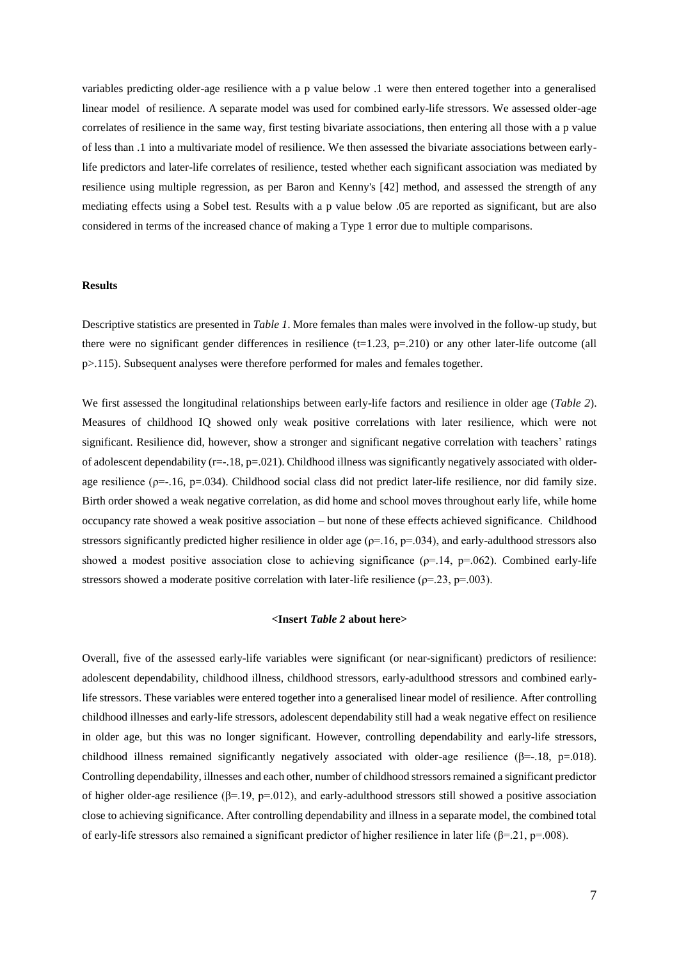variables predicting older-age resilience with a p value below .1 were then entered together into a generalised linear model of resilience. A separate model was used for combined early-life stressors. We assessed older-age correlates of resilience in the same way, first testing bivariate associations, then entering all those with a p value of less than .1 into a multivariate model of resilience. We then assessed the bivariate associations between earlylife predictors and later-life correlates of resilience, tested whether each significant association was mediated by resilience using multiple regression, as per Baron and Kenny's [42] method, and assessed the strength of any mediating effects using a Sobel test. Results with a p value below .05 are reported as significant, but are also considered in terms of the increased chance of making a Type 1 error due to multiple comparisons.

## **Results**

Descriptive statistics are presented in *Table 1*. More females than males were involved in the follow-up study, but there were no significant gender differences in resilience  $(t=1.23, p=.210)$  or any other later-life outcome (all p>.115). Subsequent analyses were therefore performed for males and females together.

We first assessed the longitudinal relationships between early-life factors and resilience in older age (*Table 2*). Measures of childhood IQ showed only weak positive correlations with later resilience, which were not significant. Resilience did, however, show a stronger and significant negative correlation with teachers' ratings of adolescent dependability ( $r=-18$ ,  $p=.021$ ). Childhood illness was significantly negatively associated with olderage resilience ( $p=-.16$ ,  $p=.034$ ). Childhood social class did not predict later-life resilience, nor did family size. Birth order showed a weak negative correlation, as did home and school moves throughout early life, while home occupancy rate showed a weak positive association – but none of these effects achieved significance. Childhood stressors significantly predicted higher resilience in older age ( $\rho$ =.16,  $p$ =.034), and early-adulthood stressors also showed a modest positive association close to achieving significance ( $\rho$ =.14,  $p$ =.062). Combined early-life stressors showed a moderate positive correlation with later-life resilience ( $\rho$ =.23,  $p$ =.003).

## **<Insert** *Table 2* **about here>**

Overall, five of the assessed early-life variables were significant (or near-significant) predictors of resilience: adolescent dependability, childhood illness, childhood stressors, early-adulthood stressors and combined earlylife stressors. These variables were entered together into a generalised linear model of resilience. After controlling childhood illnesses and early-life stressors, adolescent dependability still had a weak negative effect on resilience in older age, but this was no longer significant. However, controlling dependability and early-life stressors, childhood illness remained significantly negatively associated with older-age resilience ( $\beta$ =-.18, p=.018). Controlling dependability, illnesses and each other, number of childhood stressors remained a significant predictor of higher older-age resilience ( $\beta$ =.19, p=.012), and early-adulthood stressors still showed a positive association close to achieving significance. After controlling dependability and illness in a separate model, the combined total of early-life stressors also remained a significant predictor of higher resilience in later life ( $\beta$ =.21, p=.008).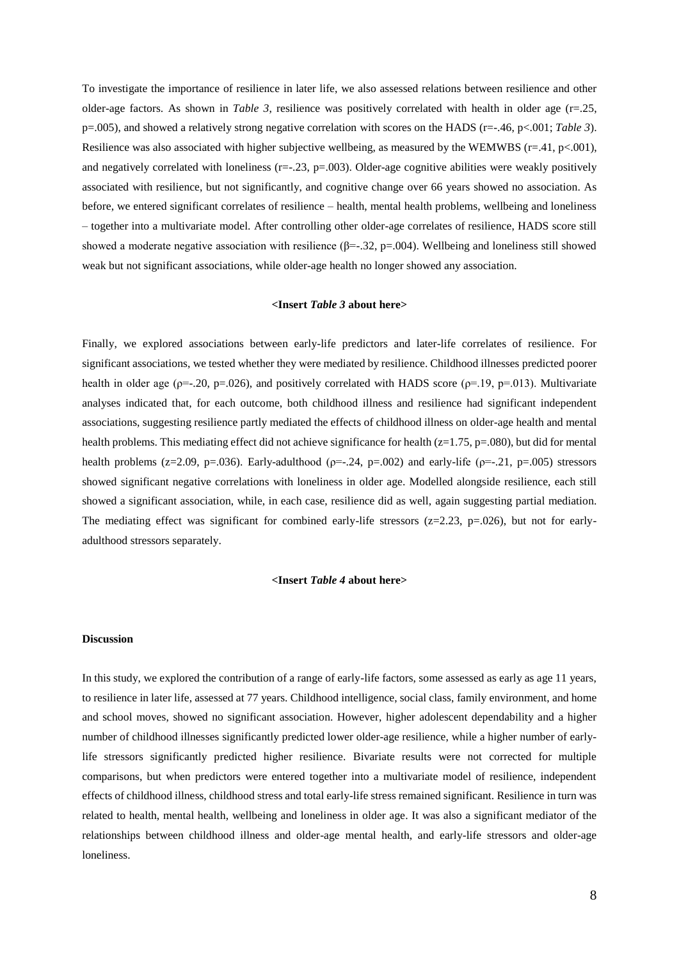To investigate the importance of resilience in later life, we also assessed relations between resilience and other older-age factors. As shown in *Table 3*, resilience was positively correlated with health in older age  $(r=.25, ...)$ p=.005), and showed a relatively strong negative correlation with scores on the HADS (r=-.46, p<.001; *Table 3*). Resilience was also associated with higher subjective wellbeing, as measured by the WEMWBS ( $r=41$ ,  $p<.001$ ), and negatively correlated with loneliness  $(r=-.23, p=.003)$ . Older-age cognitive abilities were weakly positively associated with resilience, but not significantly, and cognitive change over 66 years showed no association. As before, we entered significant correlates of resilience – health, mental health problems, wellbeing and loneliness – together into a multivariate model. After controlling other older-age correlates of resilience, HADS score still showed a moderate negative association with resilience  $(\beta = .32, p = .004)$ . Wellbeing and loneliness still showed weak but not significant associations, while older-age health no longer showed any association.

## **<Insert** *Table 3* **about here>**

Finally, we explored associations between early-life predictors and later-life correlates of resilience. For significant associations, we tested whether they were mediated by resilience. Childhood illnesses predicted poorer health in older age ( $\rho = -20$ ,  $p = 0.026$ ), and positively correlated with HADS score ( $\rho = 19$ ,  $p = 0.013$ ). Multivariate analyses indicated that, for each outcome, both childhood illness and resilience had significant independent associations, suggesting resilience partly mediated the effects of childhood illness on older-age health and mental health problems. This mediating effect did not achieve significance for health (z=1.75, p=.080), but did for mental health problems (z=2.09, p=.036). Early-adulthood ( $p=-.24$ , p=.002) and early-life ( $p=-.21$ , p=.005) stressors showed significant negative correlations with loneliness in older age. Modelled alongside resilience, each still showed a significant association, while, in each case, resilience did as well, again suggesting partial mediation. The mediating effect was significant for combined early-life stressors ( $z=2.23$ ,  $p=.026$ ), but not for earlyadulthood stressors separately.

#### **<Insert** *Table 4* **about here>**

#### **Discussion**

In this study, we explored the contribution of a range of early-life factors, some assessed as early as age 11 years, to resilience in later life, assessed at 77 years. Childhood intelligence, social class, family environment, and home and school moves, showed no significant association. However, higher adolescent dependability and a higher number of childhood illnesses significantly predicted lower older-age resilience, while a higher number of earlylife stressors significantly predicted higher resilience. Bivariate results were not corrected for multiple comparisons, but when predictors were entered together into a multivariate model of resilience, independent effects of childhood illness, childhood stress and total early-life stress remained significant. Resilience in turn was related to health, mental health, wellbeing and loneliness in older age. It was also a significant mediator of the relationships between childhood illness and older-age mental health, and early-life stressors and older-age loneliness.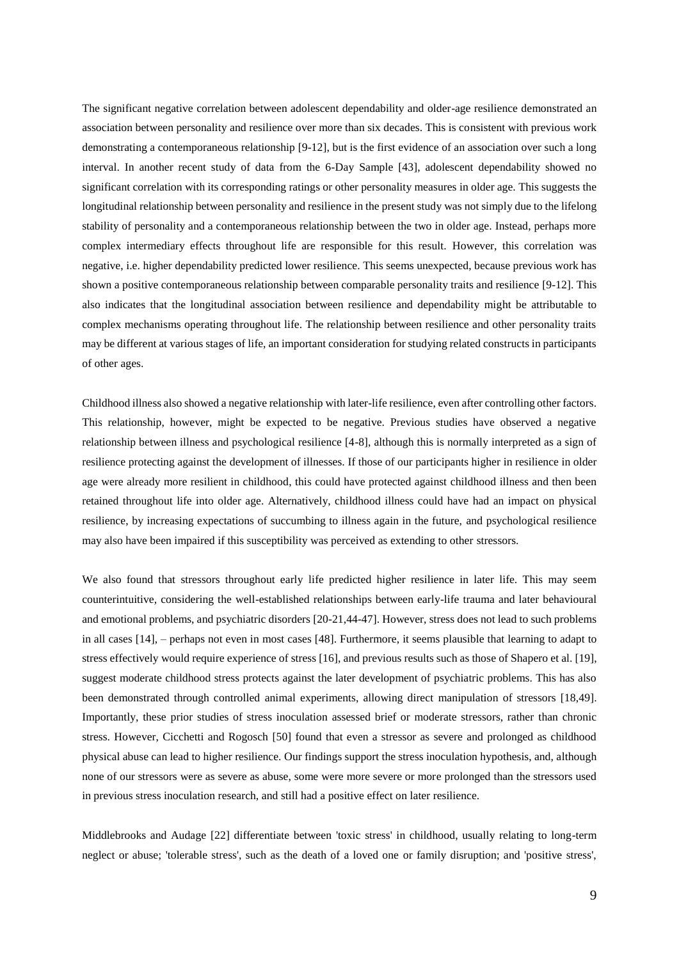The significant negative correlation between adolescent dependability and older-age resilience demonstrated an association between personality and resilience over more than six decades. This is consistent with previous work demonstrating a contemporaneous relationship [9-12], but is the first evidence of an association over such a long interval. In another recent study of data from the 6-Day Sample [43], adolescent dependability showed no significant correlation with its corresponding ratings or other personality measures in older age. This suggests the longitudinal relationship between personality and resilience in the present study was not simply due to the lifelong stability of personality and a contemporaneous relationship between the two in older age. Instead, perhaps more complex intermediary effects throughout life are responsible for this result. However, this correlation was negative, i.e. higher dependability predicted lower resilience. This seems unexpected, because previous work has shown a positive contemporaneous relationship between comparable personality traits and resilience [9-12]. This also indicates that the longitudinal association between resilience and dependability might be attributable to complex mechanisms operating throughout life. The relationship between resilience and other personality traits may be different at various stages of life, an important consideration for studying related constructs in participants of other ages.

Childhood illness also showed a negative relationship with later-life resilience, even after controlling other factors. This relationship, however, might be expected to be negative. Previous studies have observed a negative relationship between illness and psychological resilience [4-8], although this is normally interpreted as a sign of resilience protecting against the development of illnesses. If those of our participants higher in resilience in older age were already more resilient in childhood, this could have protected against childhood illness and then been retained throughout life into older age. Alternatively, childhood illness could have had an impact on physical resilience, by increasing expectations of succumbing to illness again in the future, and psychological resilience may also have been impaired if this susceptibility was perceived as extending to other stressors.

We also found that stressors throughout early life predicted higher resilience in later life. This may seem counterintuitive, considering the well-established relationships between early-life trauma and later behavioural and emotional problems, and psychiatric disorders [20-21,44-47]. However, stress does not lead to such problems in all cases [14], – perhaps not even in most cases [48]. Furthermore, it seems plausible that learning to adapt to stress effectively would require experience of stress [16], and previous results such as those of Shapero et al. [19], suggest moderate childhood stress protects against the later development of psychiatric problems. This has also been demonstrated through controlled animal experiments, allowing direct manipulation of stressors [18,49]. Importantly, these prior studies of stress inoculation assessed brief or moderate stressors, rather than chronic stress. However, Cicchetti and Rogosch [50] found that even a stressor as severe and prolonged as childhood physical abuse can lead to higher resilience. Our findings support the stress inoculation hypothesis, and, although none of our stressors were as severe as abuse, some were more severe or more prolonged than the stressors used in previous stress inoculation research, and still had a positive effect on later resilience.

Middlebrooks and Audage [22] differentiate between 'toxic stress' in childhood, usually relating to long-term neglect or abuse; 'tolerable stress', such as the death of a loved one or family disruption; and 'positive stress',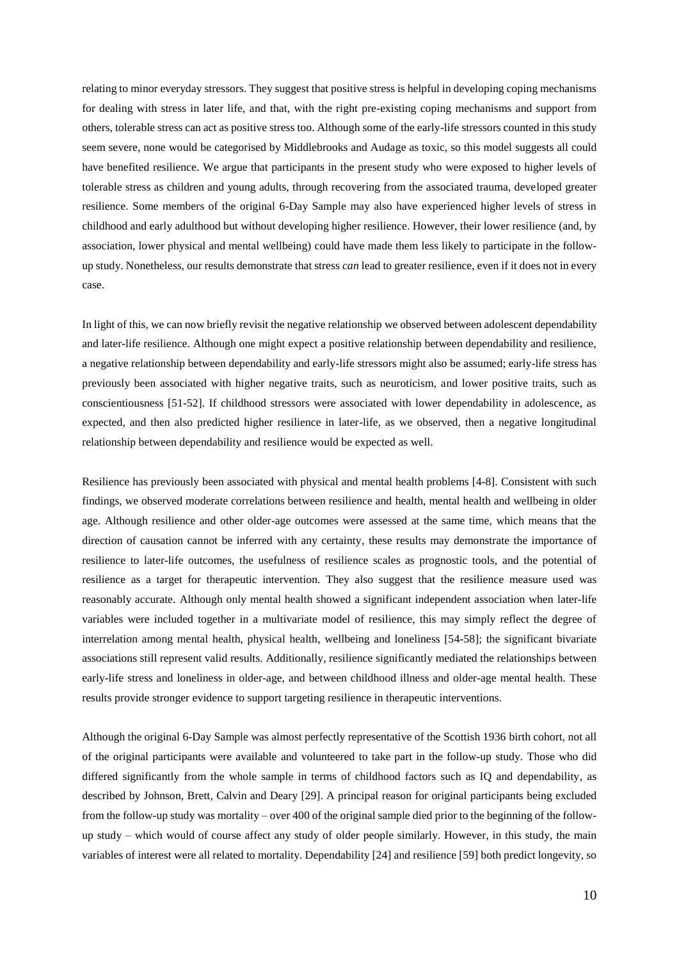relating to minor everyday stressors. They suggest that positive stress is helpful in developing coping mechanisms for dealing with stress in later life, and that, with the right pre-existing coping mechanisms and support from others, tolerable stress can act as positive stress too. Although some of the early-life stressors counted in this study seem severe, none would be categorised by Middlebrooks and Audage as toxic, so this model suggests all could have benefited resilience. We argue that participants in the present study who were exposed to higher levels of tolerable stress as children and young adults, through recovering from the associated trauma, developed greater resilience. Some members of the original 6-Day Sample may also have experienced higher levels of stress in childhood and early adulthood but without developing higher resilience. However, their lower resilience (and, by association, lower physical and mental wellbeing) could have made them less likely to participate in the followup study. Nonetheless, our results demonstrate that stress *can* lead to greater resilience, even if it does not in every case.

In light of this, we can now briefly revisit the negative relationship we observed between adolescent dependability and later-life resilience. Although one might expect a positive relationship between dependability and resilience, a negative relationship between dependability and early-life stressors might also be assumed; early-life stress has previously been associated with higher negative traits, such as neuroticism, and lower positive traits, such as conscientiousness [51-52]. If childhood stressors were associated with lower dependability in adolescence, as expected, and then also predicted higher resilience in later-life, as we observed, then a negative longitudinal relationship between dependability and resilience would be expected as well.

Resilience has previously been associated with physical and mental health problems [4-8]. Consistent with such findings, we observed moderate correlations between resilience and health, mental health and wellbeing in older age. Although resilience and other older-age outcomes were assessed at the same time, which means that the direction of causation cannot be inferred with any certainty, these results may demonstrate the importance of resilience to later-life outcomes, the usefulness of resilience scales as prognostic tools, and the potential of resilience as a target for therapeutic intervention. They also suggest that the resilience measure used was reasonably accurate. Although only mental health showed a significant independent association when later-life variables were included together in a multivariate model of resilience, this may simply reflect the degree of interrelation among mental health, physical health, wellbeing and loneliness [54-58]; the significant bivariate associations still represent valid results. Additionally, resilience significantly mediated the relationships between early-life stress and loneliness in older-age, and between childhood illness and older-age mental health. These results provide stronger evidence to support targeting resilience in therapeutic interventions.

Although the original 6-Day Sample was almost perfectly representative of the Scottish 1936 birth cohort, not all of the original participants were available and volunteered to take part in the follow-up study. Those who did differed significantly from the whole sample in terms of childhood factors such as IQ and dependability, as described by Johnson, Brett, Calvin and Deary [29]. A principal reason for original participants being excluded from the follow-up study was mortality – over 400 of the original sample died prior to the beginning of the followup study – which would of course affect any study of older people similarly. However, in this study, the main variables of interest were all related to mortality. Dependability [24] and resilience [59] both predict longevity, so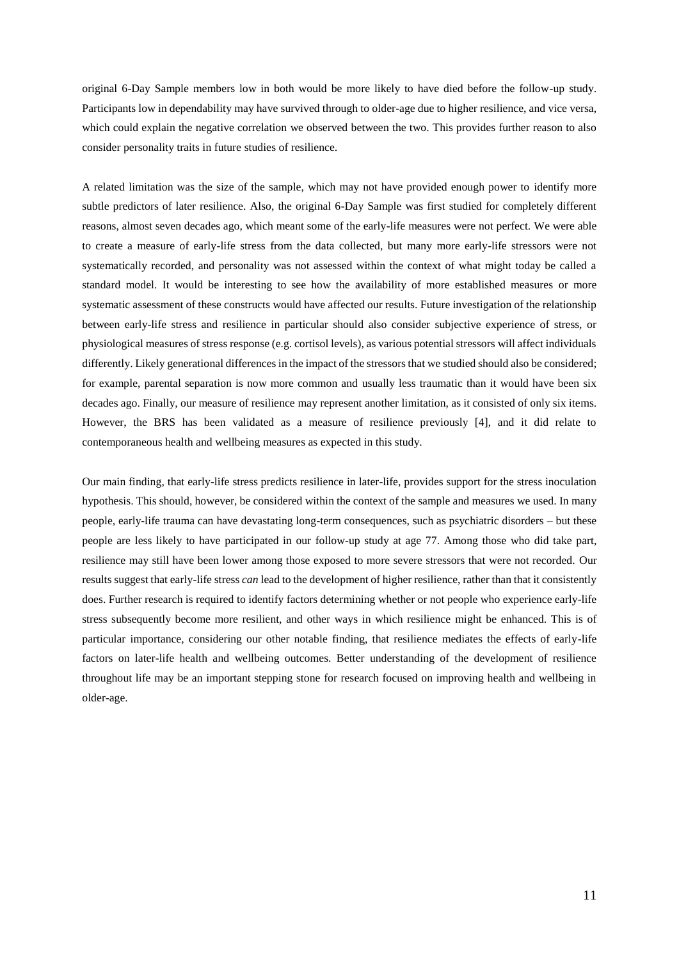original 6-Day Sample members low in both would be more likely to have died before the follow-up study. Participants low in dependability may have survived through to older-age due to higher resilience, and vice versa, which could explain the negative correlation we observed between the two. This provides further reason to also consider personality traits in future studies of resilience.

A related limitation was the size of the sample, which may not have provided enough power to identify more subtle predictors of later resilience. Also, the original 6-Day Sample was first studied for completely different reasons, almost seven decades ago, which meant some of the early-life measures were not perfect. We were able to create a measure of early-life stress from the data collected, but many more early-life stressors were not systematically recorded, and personality was not assessed within the context of what might today be called a standard model. It would be interesting to see how the availability of more established measures or more systematic assessment of these constructs would have affected our results. Future investigation of the relationship between early-life stress and resilience in particular should also consider subjective experience of stress, or physiological measures of stress response (e.g. cortisol levels), as various potential stressors will affect individuals differently. Likely generational differences in the impact of the stressors that we studied should also be considered; for example, parental separation is now more common and usually less traumatic than it would have been six decades ago. Finally, our measure of resilience may represent another limitation, as it consisted of only six items. However, the BRS has been validated as a measure of resilience previously [4], and it did relate to contemporaneous health and wellbeing measures as expected in this study.

Our main finding, that early-life stress predicts resilience in later-life, provides support for the stress inoculation hypothesis. This should, however, be considered within the context of the sample and measures we used. In many people, early-life trauma can have devastating long-term consequences, such as psychiatric disorders – but these people are less likely to have participated in our follow-up study at age 77. Among those who did take part, resilience may still have been lower among those exposed to more severe stressors that were not recorded. Our results suggest that early-life stress *can* lead to the development of higher resilience, rather than that it consistently does. Further research is required to identify factors determining whether or not people who experience early-life stress subsequently become more resilient, and other ways in which resilience might be enhanced. This is of particular importance, considering our other notable finding, that resilience mediates the effects of early-life factors on later-life health and wellbeing outcomes. Better understanding of the development of resilience throughout life may be an important stepping stone for research focused on improving health and wellbeing in older-age.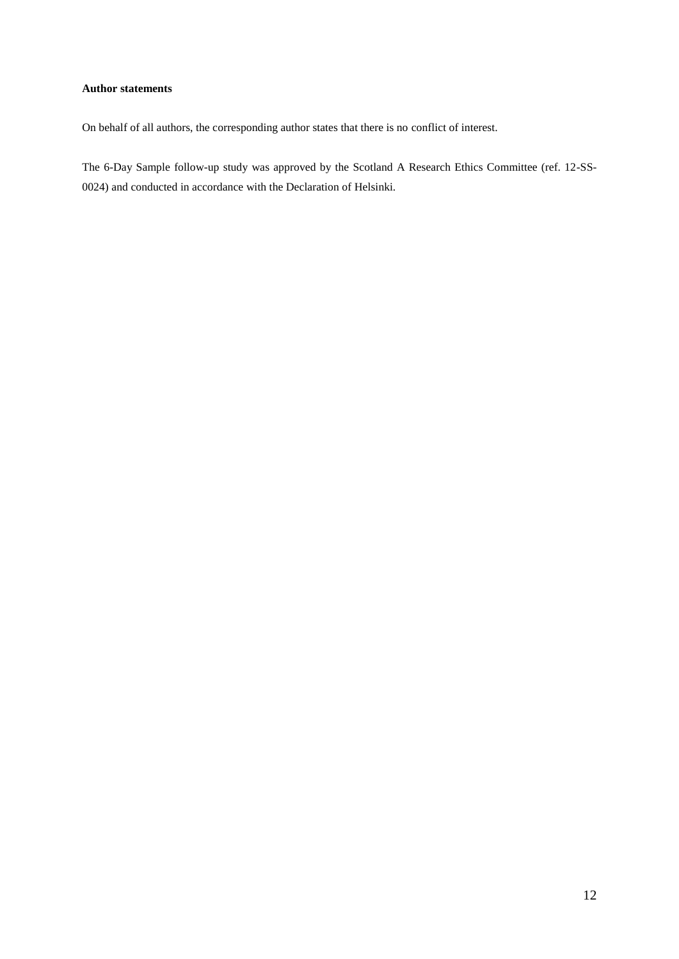## **Author statements**

On behalf of all authors, the corresponding author states that there is no conflict of interest.

The 6-Day Sample follow-up study was approved by the Scotland A Research Ethics Committee (ref. 12-SS-0024) and conducted in accordance with the Declaration of Helsinki.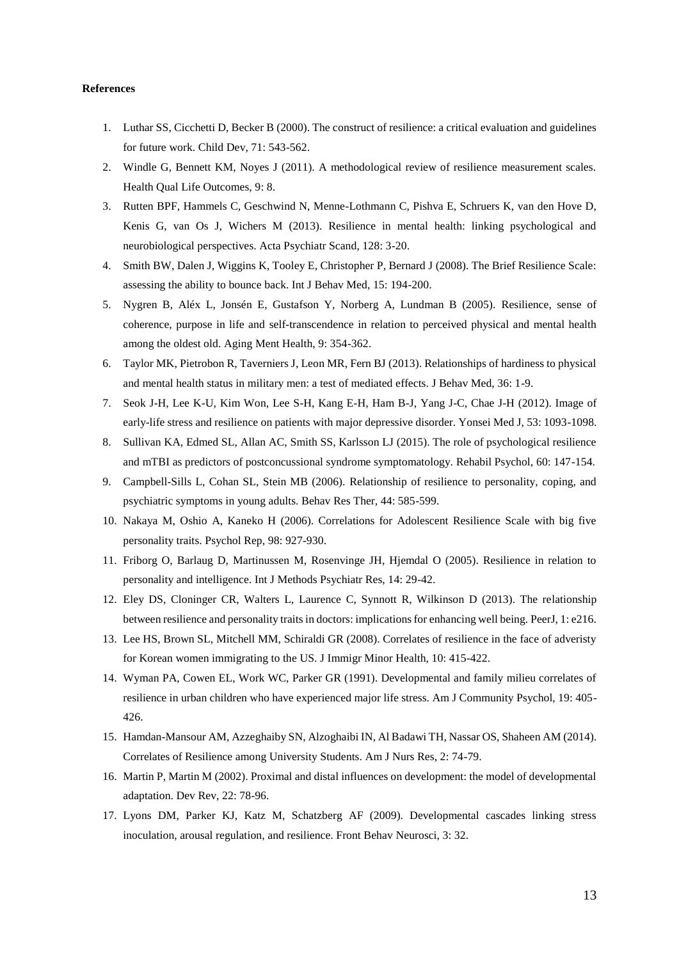#### **References**

- 1. Luthar SS, Cicchetti D, Becker B (2000). The construct of resilience: a critical evaluation and guidelines for future work. Child Dev, 71: 543-562.
- 2. Windle G, Bennett KM, Noyes J (2011). A methodological review of resilience measurement scales. Health Qual Life Outcomes, 9: 8.
- 3. Rutten BPF, Hammels C, Geschwind N, Menne-Lothmann C, Pishva E, Schruers K, van den Hove D, Kenis G, van Os J, Wichers M (2013). Resilience in mental health: linking psychological and neurobiological perspectives. Acta Psychiatr Scand, 128: 3-20.
- 4. Smith BW, Dalen J, Wiggins K, Tooley E, Christopher P, Bernard J (2008). The Brief Resilience Scale: assessing the ability to bounce back. Int J Behav Med, 15: 194-200.
- 5. Nygren B, Aléx L, Jonsén E, Gustafson Y, Norberg A, Lundman B (2005). Resilience, sense of coherence, purpose in life and self-transcendence in relation to perceived physical and mental health among the oldest old. Aging Ment Health, 9: 354-362.
- 6. Taylor MK, Pietrobon R, Taverniers J, Leon MR, Fern BJ (2013). Relationships of hardiness to physical and mental health status in military men: a test of mediated effects. J Behav Med, 36: 1-9.
- 7. Seok J-H, Lee K-U, Kim Won, Lee S-H, Kang E-H, Ham B-J, Yang J-C, Chae J-H (2012). Image of early-life stress and resilience on patients with major depressive disorder. Yonsei Med J, 53: 1093-1098.
- 8. Sullivan KA, Edmed SL, Allan AC, Smith SS, Karlsson LJ (2015). The role of psychological resilience and mTBI as predictors of postconcussional syndrome symptomatology. Rehabil Psychol, 60: 147-154.
- 9. Campbell-Sills L, Cohan SL, Stein MB (2006). Relationship of resilience to personality, coping, and psychiatric symptoms in young adults. Behav Res Ther, 44: 585-599.
- 10. Nakaya M, Oshio A, Kaneko H (2006). Correlations for Adolescent Resilience Scale with big five personality traits. Psychol Rep, 98: 927-930.
- 11. Friborg O, Barlaug D, Martinussen M, Rosenvinge JH, Hjemdal O (2005). Resilience in relation to personality and intelligence. Int J Methods Psychiatr Res, 14: 29-42.
- 12. Eley DS, Cloninger CR, Walters L, Laurence C, Synnott R, Wilkinson D (2013). The relationship between resilience and personality traits in doctors: implications for enhancing well being. PeerJ, 1: e216.
- 13. Lee HS, Brown SL, Mitchell MM, Schiraldi GR (2008). Correlates of resilience in the face of adveristy for Korean women immigrating to the US. J Immigr Minor Health, 10: 415-422.
- 14. Wyman PA, Cowen EL, Work WC, Parker GR (1991). Developmental and family milieu correlates of resilience in urban children who have experienced major life stress. Am J Community Psychol, 19: 405- 426.
- 15. Hamdan-Mansour AM, Azzeghaiby SN, Alzoghaibi IN, Al Badawi TH, Nassar OS, Shaheen AM (2014). Correlates of Resilience among University Students. Am J Nurs Res, 2: 74-79.
- 16. Martin P, Martin M (2002). Proximal and distal influences on development: the model of developmental adaptation. Dev Rev, 22: 78-96.
- 17. Lyons DM, Parker KJ, Katz M, Schatzberg AF (2009). Developmental cascades linking stress inoculation, arousal regulation, and resilience. Front Behav Neurosci, 3: 32.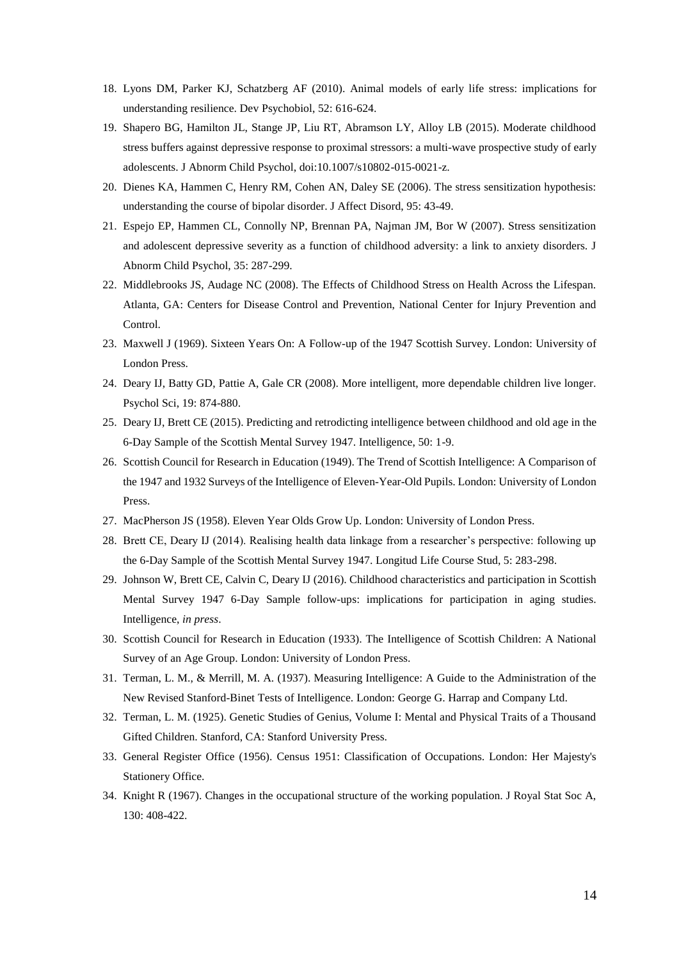- 18. Lyons DM, Parker KJ, Schatzberg AF (2010). Animal models of early life stress: implications for understanding resilience. Dev Psychobiol, 52: 616-624.
- 19. Shapero BG, Hamilton JL, Stange JP, Liu RT, Abramson LY, Alloy LB (2015). Moderate childhood stress buffers against depressive response to proximal stressors: a multi-wave prospective study of early adolescents. J Abnorm Child Psychol, doi:10.1007/s10802-015-0021-z.
- 20. Dienes KA, Hammen C, Henry RM, Cohen AN, Daley SE (2006). The stress sensitization hypothesis: understanding the course of bipolar disorder. J Affect Disord, 95: 43-49.
- 21. Espejo EP, Hammen CL, Connolly NP, Brennan PA, Najman JM, Bor W (2007). Stress sensitization and adolescent depressive severity as a function of childhood adversity: a link to anxiety disorders. J Abnorm Child Psychol, 35: 287-299.
- 22. Middlebrooks JS, Audage NC (2008). The Effects of Childhood Stress on Health Across the Lifespan. Atlanta, GA: Centers for Disease Control and Prevention, National Center for Injury Prevention and Control.
- 23. Maxwell J (1969). Sixteen Years On: A Follow-up of the 1947 Scottish Survey. London: University of London Press.
- 24. Deary IJ, Batty GD, Pattie A, Gale CR (2008). More intelligent, more dependable children live longer. Psychol Sci, 19: 874-880.
- 25. Deary IJ, Brett CE (2015). Predicting and retrodicting intelligence between childhood and old age in the 6-Day Sample of the Scottish Mental Survey 1947. Intelligence, 50: 1-9.
- 26. Scottish Council for Research in Education (1949). The Trend of Scottish Intelligence: A Comparison of the 1947 and 1932 Surveys of the Intelligence of Eleven-Year-Old Pupils. London: University of London Press.
- 27. MacPherson JS (1958). Eleven Year Olds Grow Up. London: University of London Press.
- 28. Brett CE, Deary IJ (2014). Realising health data linkage from a researcher's perspective: following up the 6-Day Sample of the Scottish Mental Survey 1947. Longitud Life Course Stud, 5: 283-298.
- 29. Johnson W, Brett CE, Calvin C, Deary IJ (2016). Childhood characteristics and participation in Scottish Mental Survey 1947 6-Day Sample follow-ups: implications for participation in aging studies. Intelligence, *in press*.
- 30. Scottish Council for Research in Education (1933). The Intelligence of Scottish Children: A National Survey of an Age Group. London: University of London Press.
- 31. Terman, L. M., & Merrill, M. A. (1937). Measuring Intelligence: A Guide to the Administration of the New Revised Stanford-Binet Tests of Intelligence. London: George G. Harrap and Company Ltd.
- 32. Terman, L. M. (1925). Genetic Studies of Genius, Volume I: Mental and Physical Traits of a Thousand Gifted Children. Stanford, CA: Stanford University Press.
- 33. General Register Office (1956). Census 1951: Classification of Occupations. London: Her Majesty's Stationery Office.
- 34. Knight R (1967). Changes in the occupational structure of the working population. J Royal Stat Soc A, 130: 408-422.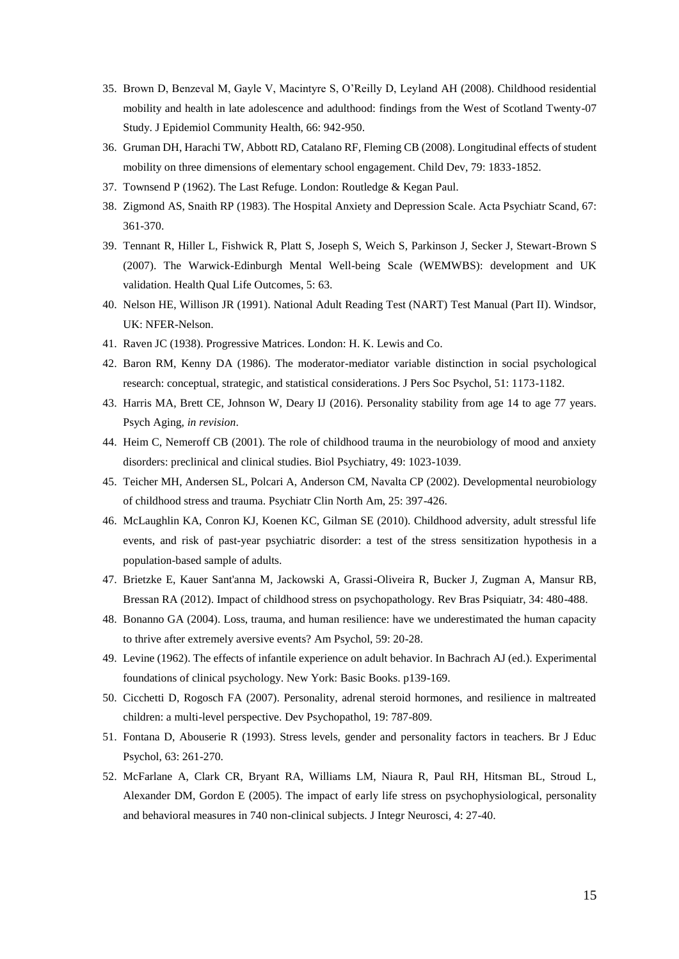- 35. Brown D, Benzeval M, Gayle V, Macintyre S, O'Reilly D, Leyland AH (2008). Childhood residential mobility and health in late adolescence and adulthood: findings from the West of Scotland Twenty-07 Study. J Epidemiol Community Health, 66: 942-950.
- 36. Gruman DH, Harachi TW, Abbott RD, Catalano RF, Fleming CB (2008). Longitudinal effects of student mobility on three dimensions of elementary school engagement. Child Dev, 79: 1833-1852.
- 37. Townsend P (1962). The Last Refuge. London: Routledge & Kegan Paul.
- 38. Zigmond AS, Snaith RP (1983). The Hospital Anxiety and Depression Scale. Acta Psychiatr Scand, 67: 361-370.
- 39. Tennant R, Hiller L, Fishwick R, Platt S, Joseph S, Weich S, Parkinson J, Secker J, Stewart-Brown S (2007). The Warwick-Edinburgh Mental Well-being Scale (WEMWBS): development and UK validation. Health Qual Life Outcomes, 5: 63.
- 40. Nelson HE, Willison JR (1991). National Adult Reading Test (NART) Test Manual (Part II). Windsor, UK: NFER-Nelson.
- 41. Raven JC (1938). Progressive Matrices. London: H. K. Lewis and Co.
- 42. Baron RM, Kenny DA (1986). The moderator-mediator variable distinction in social psychological research: conceptual, strategic, and statistical considerations. J Pers Soc Psychol, 51: 1173-1182.
- 43. Harris MA, Brett CE, Johnson W, Deary IJ (2016). Personality stability from age 14 to age 77 years. Psych Aging, *in revision*.
- 44. Heim C, Nemeroff CB (2001). The role of childhood trauma in the neurobiology of mood and anxiety disorders: preclinical and clinical studies. Biol Psychiatry, 49: 1023-1039.
- 45. Teicher MH, Andersen SL, Polcari A, Anderson CM, Navalta CP (2002). Developmental neurobiology of childhood stress and trauma. Psychiatr Clin North Am, 25: 397-426.
- 46. McLaughlin KA, Conron KJ, Koenen KC, Gilman SE (2010). Childhood adversity, adult stressful life events, and risk of past-year psychiatric disorder: a test of the stress sensitization hypothesis in a population-based sample of adults.
- 47. Brietzke E, Kauer Sant'anna M, Jackowski A, Grassi-Oliveira R, Bucker J, Zugman A, Mansur RB, Bressan RA (2012). Impact of childhood stress on psychopathology. Rev Bras Psiquiatr, 34: 480-488.
- 48. Bonanno GA (2004). Loss, trauma, and human resilience: have we underestimated the human capacity to thrive after extremely aversive events? Am Psychol, 59: 20-28.
- 49. Levine (1962). The effects of infantile experience on adult behavior. In Bachrach AJ (ed.). Experimental foundations of clinical psychology. New York: Basic Books. p139-169.
- 50. Cicchetti D, Rogosch FA (2007). Personality, adrenal steroid hormones, and resilience in maltreated children: a multi-level perspective. Dev Psychopathol, 19: 787-809.
- 51. Fontana D, Abouserie R (1993). Stress levels, gender and personality factors in teachers. Br J Educ Psychol, 63: 261-270.
- 52. McFarlane A, Clark CR, Bryant RA, Williams LM, Niaura R, Paul RH, Hitsman BL, Stroud L, Alexander DM, Gordon E (2005). The impact of early life stress on psychophysiological, personality and behavioral measures in 740 non-clinical subjects. J Integr Neurosci, 4: 27-40.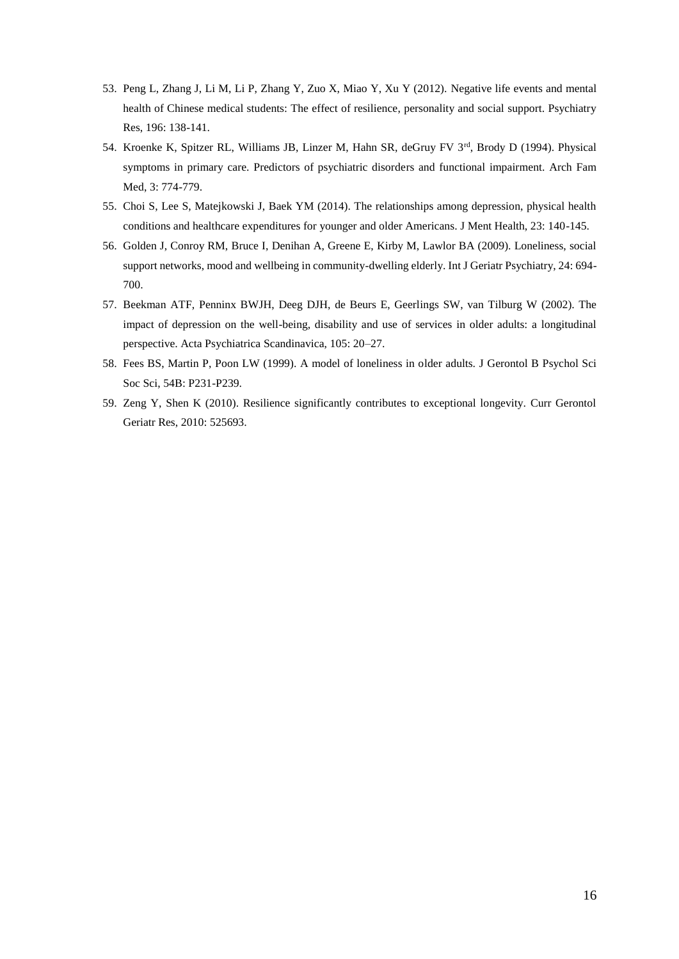- 53. Peng L, Zhang J, Li M, Li P, Zhang Y, Zuo X, Miao Y, Xu Y (2012). Negative life events and mental health of Chinese medical students: The effect of resilience, personality and social support. Psychiatry Res, 196: 138-141.
- 54. Kroenke K, Spitzer RL, Williams JB, Linzer M, Hahn SR, deGruy FV 3rd, Brody D (1994). Physical symptoms in primary care. Predictors of psychiatric disorders and functional impairment. Arch Fam Med, 3: 774-779.
- 55. Choi S, Lee S, Matejkowski J, Baek YM (2014). The relationships among depression, physical health conditions and healthcare expenditures for younger and older Americans. J Ment Health, 23: 140-145.
- 56. Golden J, Conroy RM, Bruce I, Denihan A, Greene E, Kirby M, Lawlor BA (2009). Loneliness, social support networks, mood and wellbeing in community-dwelling elderly. Int J Geriatr Psychiatry, 24: 694- 700.
- 57. Beekman ATF, Penninx BWJH, Deeg DJH, de Beurs E, Geerlings SW, van Tilburg W (2002). The impact of depression on the well-being, disability and use of services in older adults: a longitudinal perspective. Acta Psychiatrica Scandinavica, 105: 20–27.
- 58. Fees BS, Martin P, Poon LW (1999). A model of loneliness in older adults. J Gerontol B Psychol Sci Soc Sci, 54B: P231-P239.
- 59. Zeng Y, Shen K (2010). Resilience significantly contributes to exceptional longevity. Curr Gerontol Geriatr Res, 2010: 525693.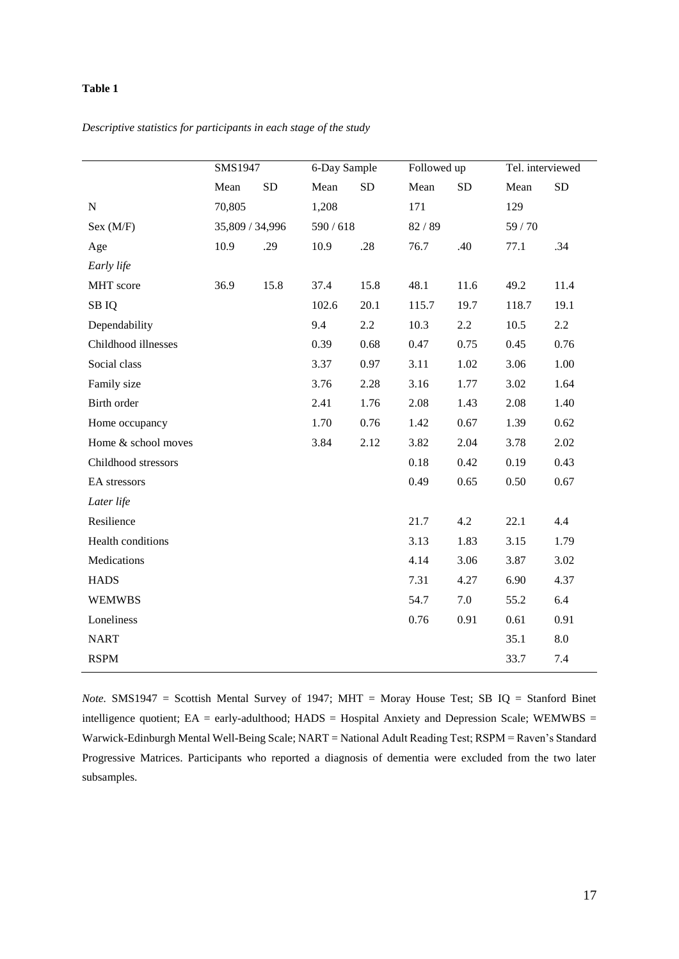*Descriptive statistics for participants in each stage of the study*

|                     | SMS1947         |           | 6-Day Sample |           | Followed up |           | Tel. interviewed |           |
|---------------------|-----------------|-----------|--------------|-----------|-------------|-----------|------------------|-----------|
|                     | Mean            | <b>SD</b> | Mean         | <b>SD</b> | Mean        | <b>SD</b> | Mean             | <b>SD</b> |
| ${\bf N}$           | 70,805          |           | 1,208        |           | 171         |           | 129              |           |
| Sex (M/F)           | 35,809 / 34,996 |           | 590 / 618    |           | 82/89       |           | 59/70            |           |
| Age                 | 10.9            | .29       | 10.9         | .28       | 76.7        | .40       | 77.1             | .34       |
| Early life          |                 |           |              |           |             |           |                  |           |
| MHT score           | 36.9            | 15.8      | 37.4         | 15.8      | 48.1        | 11.6      | 49.2             | 11.4      |
| SB IQ               |                 |           | 102.6        | 20.1      | 115.7       | 19.7      | 118.7            | 19.1      |
| Dependability       |                 |           | 9.4          | 2.2       | 10.3        | 2.2       | 10.5             | $2.2\,$   |
| Childhood illnesses |                 |           | 0.39         | 0.68      | 0.47        | 0.75      | 0.45             | 0.76      |
| Social class        |                 |           | 3.37         | 0.97      | 3.11        | 1.02      | 3.06             | 1.00      |
| Family size         |                 |           | 3.76         | 2.28      | 3.16        | 1.77      | 3.02             | 1.64      |
| Birth order         |                 |           | 2.41         | 1.76      | 2.08        | 1.43      | 2.08             | 1.40      |
| Home occupancy      |                 |           | 1.70         | 0.76      | 1.42        | 0.67      | 1.39             | 0.62      |
| Home & school moves |                 |           | 3.84         | 2.12      | 3.82        | 2.04      | 3.78             | 2.02      |
| Childhood stressors |                 |           |              |           | 0.18        | 0.42      | 0.19             | 0.43      |
| EA stressors        |                 |           |              |           | 0.49        | 0.65      | 0.50             | 0.67      |
| Later life          |                 |           |              |           |             |           |                  |           |
| Resilience          |                 |           |              |           | 21.7        | 4.2       | 22.1             | 4.4       |
| Health conditions   |                 |           |              |           | 3.13        | 1.83      | 3.15             | 1.79      |
| Medications         |                 |           |              |           | 4.14        | 3.06      | 3.87             | 3.02      |
| <b>HADS</b>         |                 |           |              |           | 7.31        | 4.27      | 6.90             | 4.37      |
| <b>WEMWBS</b>       |                 |           |              |           | 54.7        | 7.0       | 55.2             | 6.4       |
| Loneliness          |                 |           |              |           | 0.76        | 0.91      | 0.61             | 0.91      |
| <b>NART</b>         |                 |           |              |           |             |           | 35.1             | $8.0\,$   |
| <b>RSPM</b>         |                 |           |              |           |             |           | 33.7             | 7.4       |

*Note.* SMS1947 = Scottish Mental Survey of 1947; MHT = Moray House Test; SB IQ = Stanford Binet intelligence quotient; EA = early-adulthood; HADS = Hospital Anxiety and Depression Scale; WEMWBS = Warwick-Edinburgh Mental Well-Being Scale; NART = National Adult Reading Test; RSPM = Raven's Standard Progressive Matrices. Participants who reported a diagnosis of dementia were excluded from the two later subsamples.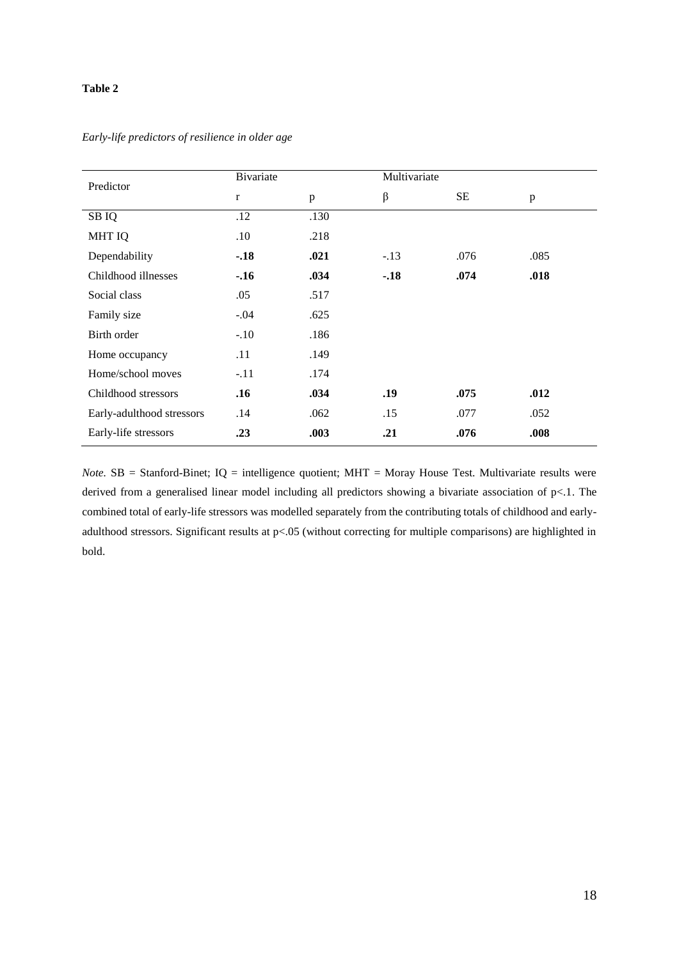| Predictor                 | Bivariate    |      | Multivariate |      |      |
|---------------------------|--------------|------|--------------|------|------|
|                           | $\mathbf{r}$ | p    | $\beta$      | SE   | p    |
| SB IQ                     | .12          | .130 |              |      |      |
| <b>MHT IQ</b>             | .10          | .218 |              |      |      |
| Dependability             | $-.18$       | .021 | $-.13$       | .076 | .085 |
| Childhood illnesses       | $-.16$       | .034 | $-.18$       | .074 | .018 |
| Social class              | .05          | .517 |              |      |      |
| Family size               | $-.04$       | .625 |              |      |      |
| Birth order               | $-.10$       | .186 |              |      |      |
| Home occupancy            | .11          | .149 |              |      |      |
| Home/school moves         | $-.11$       | .174 |              |      |      |
| Childhood stressors       | .16          | .034 | .19          | .075 | .012 |
| Early-adulthood stressors | .14          | .062 | .15          | .077 | .052 |
| Early-life stressors      | .23          | .003 | .21          | .076 | .008 |

*Early-life predictors of resilience in older age* 

*Note.* SB = Stanford-Binet; IQ = intelligence quotient; MHT = Moray House Test. Multivariate results were derived from a generalised linear model including all predictors showing a bivariate association of p<.1. The combined total of early-life stressors was modelled separately from the contributing totals of childhood and earlyadulthood stressors. Significant results at p<.05 (without correcting for multiple comparisons) are highlighted in bold.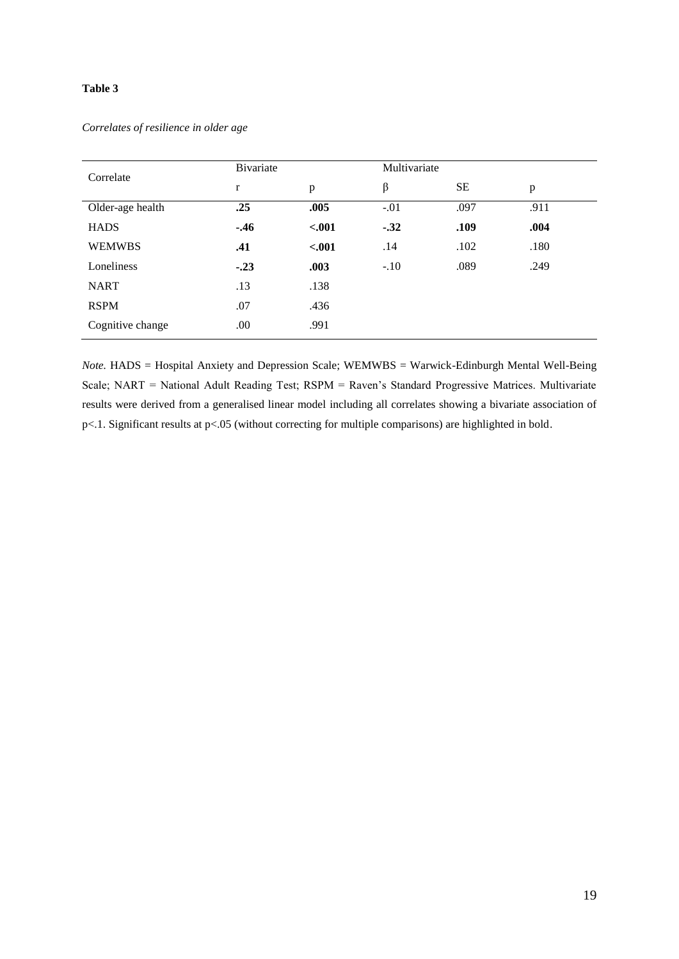## *Correlates of resilience in older age*

| Correlate        | Bivariate |         | Multivariate |      |      |  |
|------------------|-----------|---------|--------------|------|------|--|
|                  | r         | p       | β            | SE   | p    |  |
| Older-age health | .25       | .005    | $-.01$       | .097 | .911 |  |
| <b>HADS</b>      | $-.46$    | $-.001$ | $-.32$       | .109 | .004 |  |
| <b>WEMWBS</b>    | .41       | $-.001$ | .14          | .102 | .180 |  |
| Loneliness       | $-.23$    | .003    | $-.10$       | .089 | .249 |  |
| <b>NART</b>      | .13       | .138    |              |      |      |  |
| <b>RSPM</b>      | .07       | .436    |              |      |      |  |
| Cognitive change | .00       | .991    |              |      |      |  |

*Note.* HADS = Hospital Anxiety and Depression Scale; WEMWBS = Warwick-Edinburgh Mental Well-Being Scale; NART = National Adult Reading Test; RSPM = Raven's Standard Progressive Matrices. Multivariate results were derived from a generalised linear model including all correlates showing a bivariate association of p<.1. Significant results at p<.05 (without correcting for multiple comparisons) are highlighted in bold.